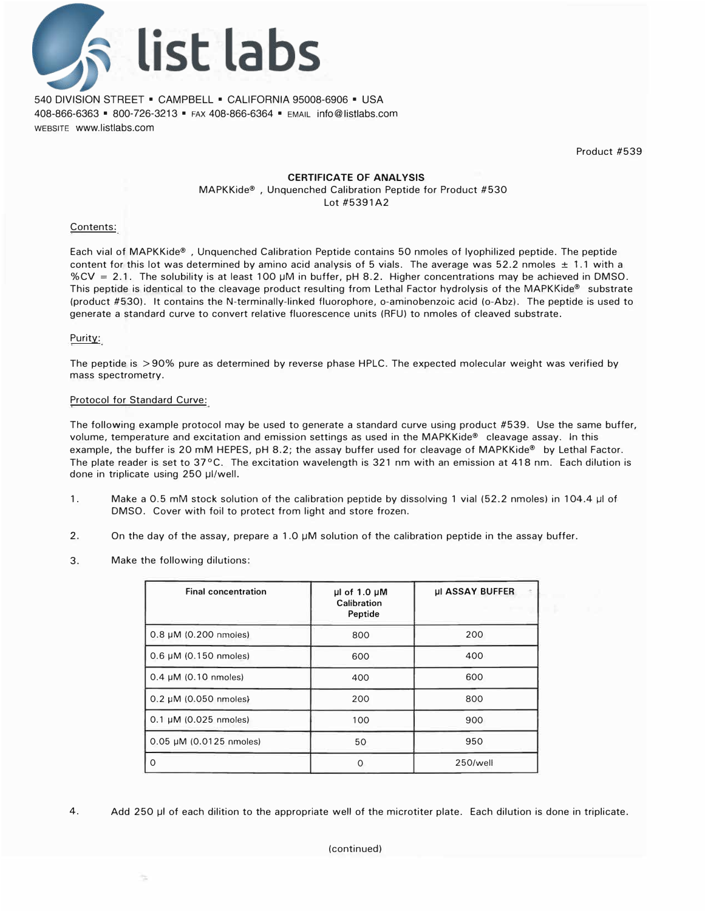

540 DIVISION STREET • CAMPBELL • CALIFORNIA 95008-6906 • USA 408-866-6363 • 800-726-3213 • FAX 408-866-6364 • EMAIL info@listlabs.com WEBSITE www.listlabs.com

Product #539

#### **CERTIFICATE OF ANALYSIS**

MAPKKide® , Unquenched Calibration Peptide for Product #530 Lot #5391A2

#### Contents:

Each vial of MAPKKide® , Unquenched Calibration Peptide contains 50 nmoles of lyophilized peptide. The peptide content for this lot was determined by amino acid analysis of 5 vials. The average was 52.2 nmoles  $\pm$  1.1 with a %CV = 2.1. The solubility is at least 100 µM in buffer, pH 8.2. Higher concentrations may be achieved in DMSO. This peptide is identical to the cleavage product resulting from Lethal Factor hydrolysis of the MAPKKide® substrate (product #530). It contains the N-terminally-linked fluorophore, o-aminobenzoic acid (o-Abz). The peptide is used to generate a standard curve to convert relative fluorescence units (RFU) to nmoles of cleaved substrate.

### Purity:

The peptide is > 90% pure as determined by reverse phase HPLC. The expected molecular weight was verified by mass spectrometry.

### Protocol for Standard Curve:

The following example protocol may be used to generate a standard curve using product #539. Use the same buffer, volume, temperature and excitation and emission settings as used in the MAPKKide® cleavage assay. In this example, the buffer is 20 mM HEPES, pH 8.2; the assay buffer used for cleavage of MAPKKide® by Lethal Factor. The plate reader is set to 37°C. The excitation wavelength is 321 nm with an emission at 418 nm. Each dilution is done in triplicate using 250 µI/well.

- 1. Make a 0.5 mM stock solution of the calibration peptide by dissolving 1 vial (52.2 nmoles) in 104.4 µl of DMSO. Cover with foil to protect from light and store frozen.
- 2. On the day of the assay, prepare a 1.0 µM solution of the calibration peptide in the assay buffer.
- 3. Make the following dilutions:

| <b>Final concentration</b> | $\mu$ l of 1.0 $\mu$ M<br>Calibration<br>Peptide | <b>µI ASSAY BUFFER</b> |  |
|----------------------------|--------------------------------------------------|------------------------|--|
| $0.8 \mu M$ (0.200 nmoles) | 800                                              | 200                    |  |
| $0.6 \mu M$ (0.150 nmoles) | 600                                              | 400                    |  |
| $0.4 \mu M$ (0.10 nmoles)  | 400                                              | 600                    |  |
| $0.2 \mu M$ (0.050 nmoles) | 200                                              | 800                    |  |
| 0.1 µM (0.025 nmoles)      | 100                                              | 900                    |  |
| 0.05 µM (0.0125 nmoles)    | 50                                               | 950                    |  |
| 0                          | ∩                                                | 250/well               |  |

4. Add 250 µI of each dilition to the appropriate well of the microtiter plate. Each dilution is done in triplicate.